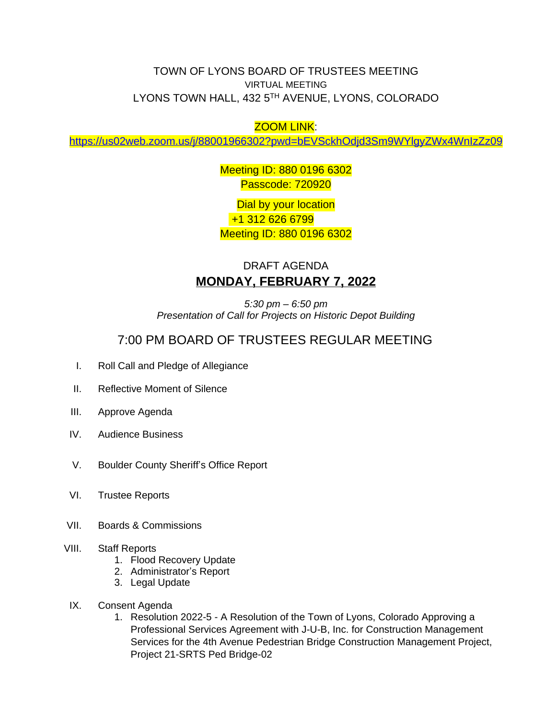## TOWN OF LYONS BOARD OF TRUSTEES MEETING VIRTUAL MEETING LYONS TOWN HALL, 432 5TH AVENUE, LYONS, COLORADO

## ZOOM LINK:

<https://us02web.zoom.us/j/88001966302?pwd=bEVSckhOdjd3Sm9WYlgyZWx4WnIzZz09>

Meeting ID: 880 0196 6302 Passcode: 720920

Dial by your location +1 312 626 6799 Meeting ID: 880 0196 6302

## DRAFT AGENDA **MONDAY, FEBRUARY 7, 2022**

*5:30 pm – 6:50 pm Presentation of Call for Projects on Historic Depot Building*

## 7:00 PM BOARD OF TRUSTEES REGULAR MEETING

- I. Roll Call and Pledge of Allegiance
- II. Reflective Moment of Silence
- III. Approve Agenda
- IV. Audience Business
- V. Boulder County Sheriff's Office Report
- VI. Trustee Reports
- VII. Boards & Commissions
- VIII. Staff Reports
	- 1. Flood Recovery Update
	- 2. Administrator's Report
	- 3. Legal Update
- IX. Consent Agenda
	- 1. Resolution 2022-5 A Resolution of the Town of Lyons, Colorado Approving a Professional Services Agreement with J-U-B, Inc. for Construction Management Services for the 4th Avenue Pedestrian Bridge Construction Management Project, Project 21-SRTS Ped Bridge-02